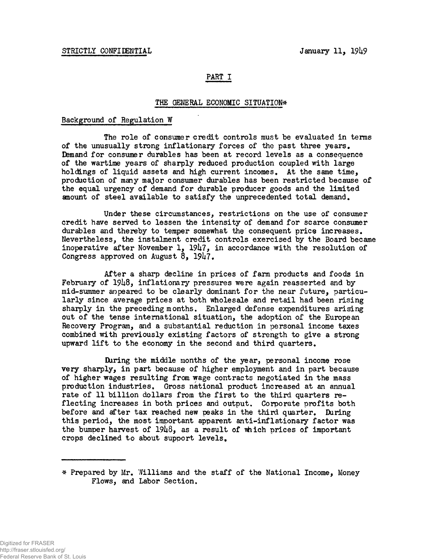# PART I

## THE GENERAL ECONOMIC SITUATION\*

### Background of Regulation W

The role of consumer credit controls must be evaluated in terms of the unusually strong inflationary forces of the past three years. Demand for consumer durables has been at record levels as a consequence of the wartime years of sharply reduced production coupled with large holdings of liquid assets and high current incomes. At the same time, production of many major consumer durables has been restricted because of the equal urgency of demand for durable producer goods and the limited amount of steel available to satisfy the unprecedented total demand.

Under these circumstances, restrictions on the use of consumer credit have served to lessen the intensity of demand for scarce consumer durables and thereby to temper somewhat the consequent price increases. Nevertheless, the instalment credit controls exercised by the Board became inoperative after November 1,  $1947$ , in accordance with the resolution of Congress approved on August  $8$ ,  $1947$ .

After a sharp decline in prices of farm products and foods in February of 1948, inflationary pressures were again reasserted and by mid-summer appeared to be clearly dominant for the near future, particularly since average prices at both wholesale and retail had been rising sharply in the preceding months. Enlarged defense expenditures arising out of the tense international situation, the adoption of the European Recovery Program, and a substantial reduction in personal income taxes combined with previously existing factors of strength to give a strong upward lift to the economy in the second and third quarters.

During the middle months of the year, personal income rose very sharply, in part because of higher employment and in part because of higher wages resulting from wage contracts negotiated in the mass production industries. Gross national product increased at an annual rate of 11 billion dollars from the first to the third quarters reflecting increases in both prices and output. Corporate profits both before and after tax reached new peaks in the third quarter. During this period, the most important apparent anti-inflationary factor was the bumper harvest of  $1948$ , as a result of which prices of important crops declined to about support levels.

<sup>#</sup> Prepared by Mr. Williams and the staff of the National Income, Money Flows, and Labor Section.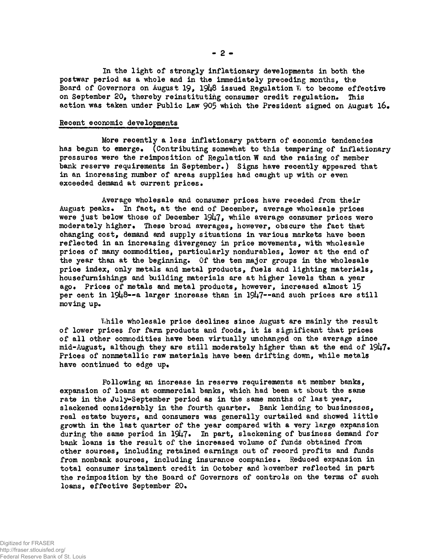**In the light of strongly inflationary developments in both the postwar period as a whole and in the immediately preceding months, the** Board of Governors on August 19, 1948 issued Regulation W. to become effective **on September 20, thereby reinstituting consumer credit regulation. This action was taken under Public Law 905 which the President signed on August l6#**

#### **Recent economic developments**

**More reoently a less inflationary pattern of economic tendencies** has begun to emerge. (Contributing somewhat to this tempering of inflationary **pressures were the reimposition of Regulation W and the raising of member bank reserve requirements in September.) Signs have recently appeared that in an increasing number of areas supplies had caught up with or even exceeded demand at current prices.**

**Average wholesale and consumer prices have receded from their August peaks. In fact, at the end of December, average wholesale prices were just below those of December 1947, while average consumer prices were moderately higher\* These broad averages, however, obscure the fact that changing cost, demand and supply situations in various markets have been reflected in an increasing divergency in price movements, with wholesale prices of many commodities, particularly nondurables, lower at the end of the year than at the beginning. Of the ten major groups in the wholesale prioe index, only metals an4 metal products, fuels and lighting materials, housefurnishings and building materials are at higher levels than a year ago. Prices of metals and metal products, however, increased almost 15** per cent in 1948--a larger increase than in 1947--and such prices are still **moving up.**

While wholesale price declines since August are mainly the result **of lower prices for farm products and foods, it is significant that prices of all other commodities have been virtually unchanged on the average since** mid-August, although they are still moderately higher than at the end of 1947. **Prices of nonmetallic raw materials have been drifting down, while metals have continued to edge up.**

**Following an increase in reserve requirements at member banks, expansion of loans at commercial banks, which had been at about the same rate in the July-September period as in the same months of last year, slackened considerably in the fourth quarter. Bank lending to businesses, real estate buyers, and consumers was generally curtailed and showed little growth in the last quarter of the year compared with a very large expansion during the same period in 19^7 • In part, slackening of business demand for bank loans is the result of the increased volume of funds obtained from other sources, including retained earnings out of record profits and funds from nonbank sources, including insurance companies. Reduced expansion in** total consumer instalment credit in October and November reflected in part **the reimposition by the Board of Governors of controls on the terms of such loans, effective September 20.**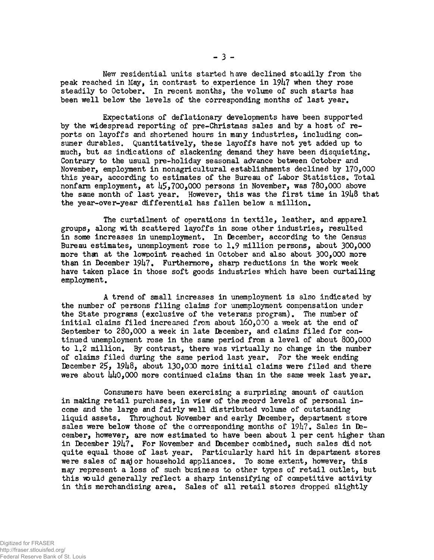New residential units started have declined steadily from the peak reached in May, in contrast to experience in 19h7 when they rose steadily to October. In recent months, the volume of such starts has been well below the levels of the corresponding months of last year.

Expectations of deflationary developments have been supported by the widespread reporting of pre-Christmas sales and by a host of reports on layoffs and shortened hours in many industries, including consumer durables. Quantitatively, these layoffs have not yet added up to much, but as indications of slackening demand they have been disquieting. Contrary to the usual pre-holiday seasonal advance between October and November, employment in nonagricultural establishments declined by 170,000 this year, according to estimates of the Bureau of Labor Statistics. Total nonfarm employment, at  $\frac{1}{5}$ ,700,000 persons in November, was 780,000 above the same month of last year. However, this was the first time in 19U8 that the year-over-year differential has fallen below a million*.*

The curtailment of operations in textile, leather, and apparel groups, along with scattered layoffs in some other industries, resulted in some increases in unemployment. In December, according to the Census Bureau estimates, unemployment rose to 1,9 million persons, about 300,000 more than at the lowpoint reached in October and also about 300,000 more than in December  $1947$ . Furthermore, sharp reductions in the work week have taken place in those soft goods industries which have been curtailing employment.

A trend of small increases in unemployment is also indicated by the number of persons filing claims for unemployment compensation under the State programs (exclusive of the veterans program). The number of initial claims filed increased from about  $160,030$  a week at the end of September to 280,000 a week in late December, and claims filed for continued unemployment rose in the same period from a level of about 800,000 to 1,2 million. By contrast, there was virtually no change in the number of claims filed during the same period last year. For the week ending December  $25$ ,  $1948$ , about  $130,000$  more initial claims were filed and there were about  $\mu\mu_0$ ,000 more continued claims than in the same week last year.

Consumers have been exercising a surprising amount of caution in making retail purchases, in view of the record levels of personal income and the large and fairly well distributed volume of outstanding liquid assets. Throughout November and early December, department store sales were below those of the corresponding months of  $1947$ . Sales in December, however, are now estimated to have been about 1 per cent higher than in December 1947. For November and December combined, such sales did not quite equal those of last year. Particularly hard hit in department stores were sales of major household appliances. To some extent, however, this may represent a loss of such business to other types of retail outlet, but this would generally reflect a sharp intensifying of competitive activity in this merchandising area. Sales of all retail stores dropped slightly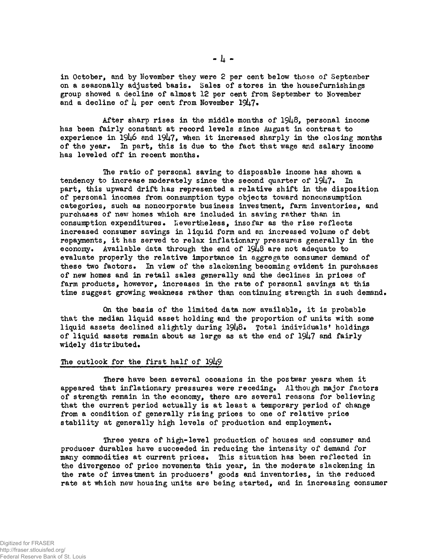**in October, and by November they were 2 per cent below those of September** on a seasonally adjusted basis. Sales of stores in the housefurnishings **group showed a decline of almost 12 per cent fron\* September to November** and a decline of  $\mu$  per cent from November 19 $\mu$ 7.

After sharp rises in the middle months of 1948, personal income **has been fairly constant at record levels since August in contrast to** experience in 1946 and 1947, when it increased sharply in the closing months of the year. In part, this is due to the fact that wage and salary income has leveled off in recent months.

**The ratio of personal saving to disposable income has shown a** tendency to increase moderately since the second quarter of 1947. In **part, this upward drift has represented a relative shift in the disposition of personal incomes from consumption type objects toward nonconsumption categories, such as noncorporate business investment, farm inventories, and purchases of new homes which are included in saving rather than in** consumption expenditures. Nevertheless, insofar as the rise reflects **increased consumer savings in liquid form and an increased volume of debt repayments, it has served to relax inflationary pressures generally in the** economy. Available data through the end of 1948 are not adequate to **evaluate properly the relative importance in aggregate consumer demand of these two factors\* In view of the slackening becoming evident in purchases of new homes and in retail sales generally and the declines in prices of farm products, however, increases in the rate of personal savings at this time suggest growing weakness rather than continuing strength in such demand\***

**On the basis of the limited data now available, it is probable that the median liquid asset holding and the proportion of units with some liquid assets declined sligjrtly during 19^8\* Total individuals<sup>1</sup> holdings** of liquid assets remain about as large as at the end of 1947 and fairly **widely distributed.**

#### The outlook for the first half of 1949

**There have been several occasions in the postwar years when it appeared that inflationary pressures were receding\* Although major factors of strength remain in the economy, there are several reasons for believing that the current period actually is at least a temporary period of change from a condition of generally rising prices to one of relative price** stability at generally high levels of production and employment.

**Three years of high-level production of houses and consumer and producer durables have succeeded in reducing the intensity of demand for** many commodities at current prices. This situation has been reflected in **the divergence of price movements this year, in the moderate slackening in the rate of investment in producers<sup>1</sup> goods and inventories, in the reduced rate at which new housing units are being started, and in increasing consumer**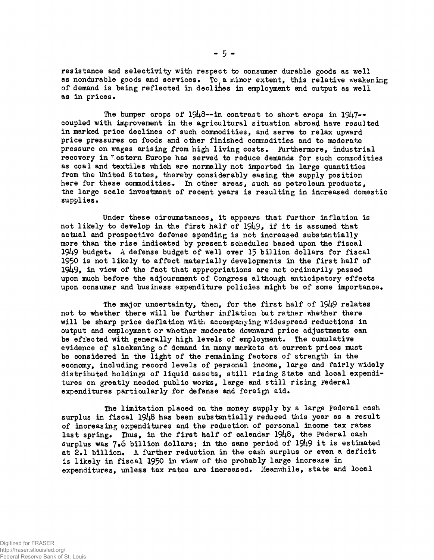**resistance and selectivity with respect to consumer durable goods as well** as nondurable goods and services. To a minor extent, this relative weakening **of demand is being reflected in declines in employment and output as well as in prices•**

The bumper crops of 1948--in contrast to short crops in 1947-**coupled with improvement in the agricultural situation abroad have resulted in marked price declines of such commodities, and serve to relax upward price pressures on foods and other finished commodities and to moderate pressure on wages arising from high living costs. furthermore, industrial recovery in Western Europe has served to reduce demands for such commodities as coal and textiles which are normally not imported in large quantities from the United States, thereby considerably easing the supply position** here for these commodities. In other areas, such as petroleum products, **the large scale investment of recent years is resulting in increased domestic** supplies.

**Tinder these circumstances, it appears that further inflation is** not likely to develop in the first half of  $1949$ , if it is assumed that **actual and prospective defense spending is not increased substantially more than the rise indicated by present schedules based upon the fiscal 19^9 budget\* A defense budget of well over 15 billion dollars for fiscal 1950 is not likely to affect materially developments in the first half of 19i+9\* in view of the fact that appropriations are not ordinarily passed upon much before the adjournment of Congress although anticipatory effects** upon consumer and business expenditure policies might be of some importance.

The major uncertainty, then, for the first half of 1949 relates **not to whether there will be further inflation tut rather whether there will be sharp price deflation with accompanying widespread reductions in output and employment or whether moderate downward price adjustments can be effected with generally high levels of employment. The cumulative evidence of slackening of demand in many markets at current prices must be considered in the light of the remaining factors of strength in the economy, including record levels of personal income, large and fairly widely distributed holdings of liquid assets, still rising State and local expenditures on greatly needed public works, large and still rising Federal** expenditures particularly for defense and foreign aid.

**The limitation placed on the money supply by a large Federal cash surplus in fiscal 19I48 has been substantially reduced this year as a result of increasing expenditures and the reduction of personal income tax rates** last spring. Thus, in the first half of calendar 1948, the Federal cash **surplus was 7»6 billion dollars; in the same period of 19^9 it is estimated** at 2.1 billion. A further reduction in the cash surplus or even a deficit **is likely in fiscal 1950 in view of the probably large increase in expenditures, unless tax rates are increased. Meanwhile, state and local**

**- 5 -**